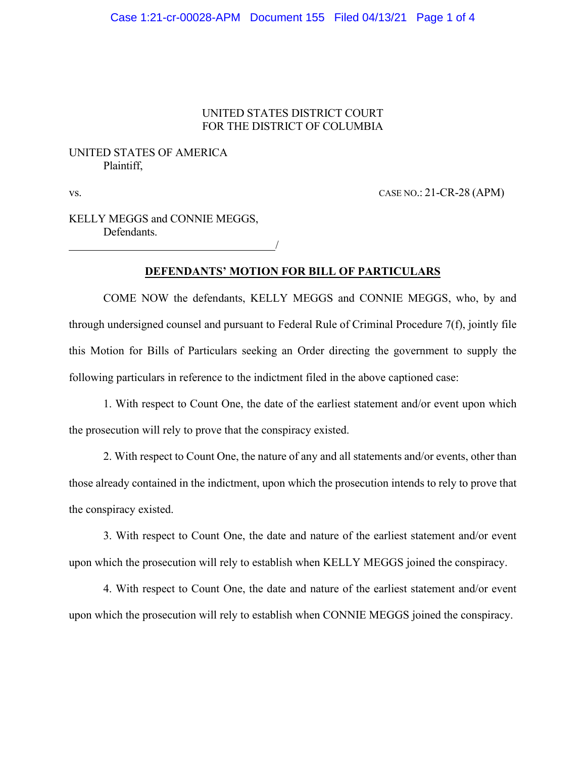### UNITED STATES DISTRICT COURT FOR THE DISTRICT OF COLUMBIA

## UNITED STATES OF AMERICA Plaintiff,

vs. CASE NO.: 21-CR-28 (APM)

KELLY MEGGS and CONNIE MEGGS, Defendants.

/

# **DEFENDANTS' MOTION FOR BILL OF PARTICULARS**

COME NOW the defendants, KELLY MEGGS and CONNIE MEGGS, who, by and through undersigned counsel and pursuant to Federal Rule of Criminal Procedure 7(f), jointly file this Motion for Bills of Particulars seeking an Order directing the government to supply the following particulars in reference to the indictment filed in the above captioned case:

1. With respect to Count One, the date of the earliest statement and/or event upon which the prosecution will rely to prove that the conspiracy existed.

2. With respect to Count One, the nature of any and all statements and/or events, other than those already contained in the indictment, upon which the prosecution intends to rely to prove that the conspiracy existed.

3. With respect to Count One, the date and nature of the earliest statement and/or event upon which the prosecution will rely to establish when KELLY MEGGS joined the conspiracy.

4. With respect to Count One, the date and nature of the earliest statement and/or event upon which the prosecution will rely to establish when CONNIE MEGGS joined the conspiracy.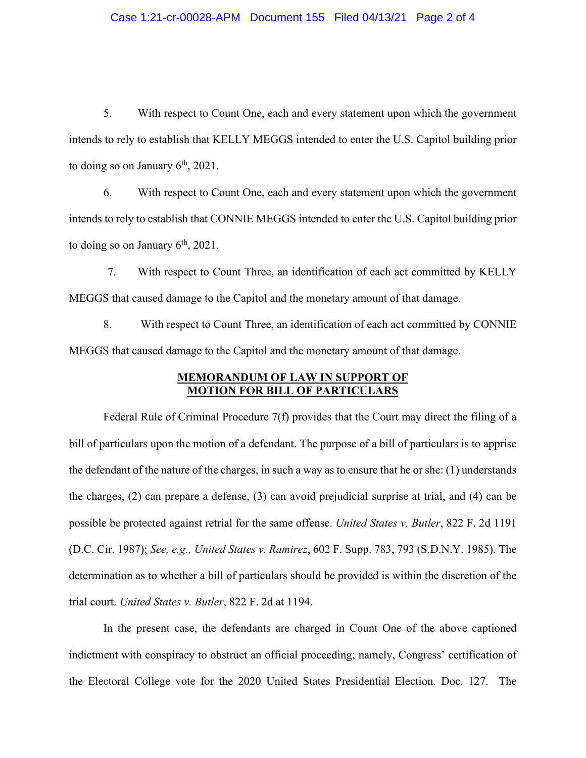#### Case 1:21-cr-00028-APM Document 155 Filed 04/13/21 Page 2 of 4

5. With respect to Count One, each and every statement upon which the government intends to rely to establish that KELLY MEGGS intended to enter the U.S. Capitol building prior to doing so on January  $6<sup>th</sup>$ , 2021.

6. With respect to Count One, each and every statement upon which the government intends to rely to establish that CONNIE MEGGS intended to enter the U.S. Capitol building prior to doing so on January  $6<sup>th</sup>$ , 2021.

7. With respect to Count Three, an identification of each act committed by KELLY MEGGS that caused damage to the Capitol and the monetary amount of that damage.

8. With respect to Count Three, an identification of each act committed by CONNIE MEGGS that caused damage to the Capitol and the monetary amount of that damage.

### **MEMORANDUM OF LAW IN SUPPORT OF MOTION FOR BILL OF PARTICULARS**

Federal Rule of Criminal Procedure 7(f) provides that the Court may direct the filing of a bill of particulars upon the motion of a defendant. The purpose of a bill of particulars is to apprise the defendant of the nature of the charges, in such a way as to ensure that he or she: (1) understands the charges, (2) can prepare a defense, (3) can avoid prejudicial surprise at trial, and (4) can be possible be protected against retrial for the same offense. *United States v. Butler*, 822 F. 2d 1191 (D.C. Cir. 1987); *See, e.g., United States v. Ramirez*, 602 F. Supp. 783, 793 (S.D.N.Y. 1985). The determination as to whether a bill of particulars should be provided is within the discretion of the trial court. *United States v. Butler*, 822 F. 2d at 1194.

In the present case, the defendants are charged in Count One of the above captioned indictment with conspiracy to obstruct an official proceeding; namely, Congress' certification of the Electoral College vote for the 2020 United States Presidential Election. Doc. 127. The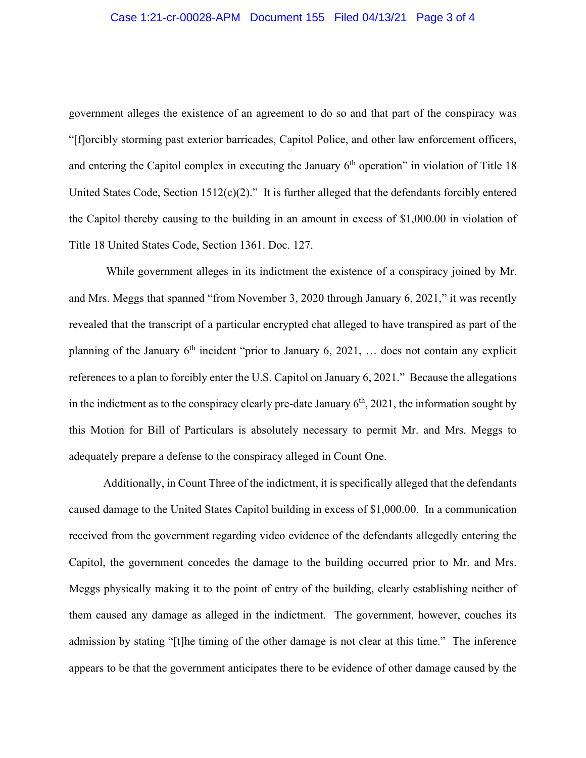government alleges the existence of an agreement to do so and that part of the conspiracy was "[f]orcibly storming past exterior barricades, Capitol Police, and other law enforcement officers, and entering the Capitol complex in executing the January  $6<sup>th</sup>$  operation" in violation of Title 18 United States Code, Section  $1512(c)(2)$ ." It is further alleged that the defendants forcibly entered the Capitol thereby causing to the building in an amount in excess of \$1,000.00 in violation of Title 18 United States Code, Section 1361. Doc. 127.

While government alleges in its indictment the existence of a conspiracy joined by Mr. and Mrs. Meggs that spanned "from November 3, 2020 through January 6, 2021," it was recently revealed that the transcript of a particular encrypted chat alleged to have transpired as part of the planning of the January  $6<sup>th</sup>$  incident "prior to January 6, 2021, ... does not contain any explicit references to a plan to forcibly enter the U.S. Capitol on January 6, 2021." Because the allegations in the indictment as to the conspiracy clearly pre-date January  $6<sup>th</sup>$ , 2021, the information sought by this Motion for Bill of Particulars is absolutely necessary to permit Mr. and Mrs. Meggs to adequately prepare a defense to the conspiracy alleged in Count One.

Additionally, in Count Three of the indictment, it is specifically alleged that the defendants caused damage to the United States Capitol building in excess of \$1,000.00. In a communication received from the government regarding video evidence of the defendants allegedly entering the Capitol, the government concedes the damage to the building occurred prior to Mr. and Mrs. Meggs physically making it to the point of entry of the building, clearly establishing neither of them caused any damage as alleged in the indictment. The government, however, couches its admission by stating "[t]he timing of the other damage is not clear at this time." The inference appears to be that the government anticipates there to be evidence of other damage caused by the